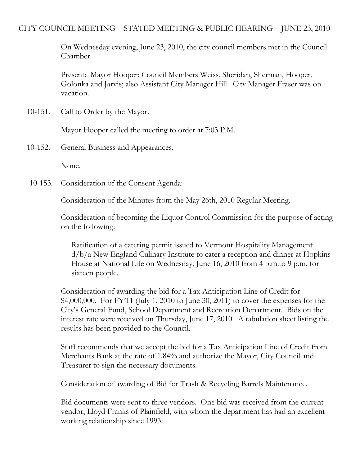## CITY COUNCIL MEETING STATED MEETING & PUBLIC HEARING JUNE 23, 2010

On Wednesday evening, June 23, 2010, the city council members met in the Council Chamber.

Present: Mayor Hooper; Council Members Weiss, Sheridan, Sherman, Hooper, Golonka and Jarvis; also Assistant City Manager Hill. City Manager Fraser was on vacation.

10-151. Call to Order by the Mayor.

Mayor Hooper called the meeting to order at 7:03 P.M.

10-152. General Business and Appearances.

None.

10-153. Consideration of the Consent Agenda:

Consideration of the Minutes from the May 26th, 2010 Regular Meeting.

Consideration of becoming the Liquor Control Commission for the purpose of acting on the following:

Ratification of a catering permit issued to Vermont Hospitality Management d/b/a New England Culinary Institute to cater a reception and dinner at Hopkins House at National Life on Wednesday, June 16, 2010 from 4 p.m.to 9 p.m. for sixteen people.

Consideration of awarding the bid for a Tax Anticipation Line of Credit for \$4,000,000. For FY'11 (July 1, 2010 to June 30, 2011) to cover the expenses for the City's General Fund, School Department and Recreation Department. Bids on the interest rate were received on Thursday, June 17, 2010. A tabulation sheet listing the results has been provided to the Council.

Staff recommends that we accept the bid for a Tax Anticipation Line of Credit from Merchants Bank at the rate of 1.84% and authorize the Mayor, City Council and Treasurer to sign the necessary documents.

Consideration of awarding of Bid for Trash & Recycling Barrels Maintenance.

Bid documents were sent to three vendors. One bid was received from the current vendor, Lloyd Franks of Plainfield, with whom the department has had an excellent working relationship since 1993.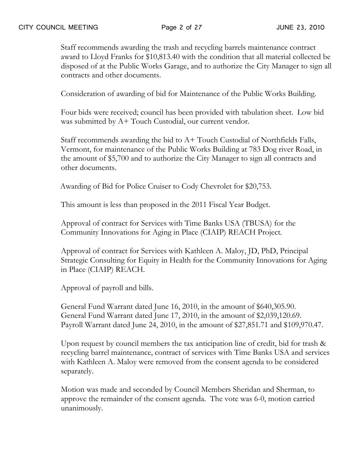Staff recommends awarding the trash and recycling barrels maintenance contract award to Lloyd Franks for \$10,813.40 with the condition that all material collected be disposed of at the Public Works Garage, and to authorize the City Manager to sign all contracts and other documents.

Consideration of awarding of bid for Maintenance of the Public Works Building.

Four bids were received; council has been provided with tabulation sheet. Low bid was submitted by A+ Touch Custodial, our current vendor.

Staff recommends awarding the bid to A+ Touch Custodial of Northfields Falls, Vermont, for maintenance of the Public Works Building at 783 Dog river Road, in the amount of \$5,700 and to authorize the City Manager to sign all contracts and other documents.

Awarding of Bid for Police Cruiser to Cody Chevrolet for \$20,753.

This amount is less than proposed in the 2011 Fiscal Year Budget.

Approval of contract for Services with Time Banks USA (TBUSA) for the Community Innovations for Aging in Place (CIAIP) REACH Project.

Approval of contract for Services with Kathleen A. Maloy, JD, PhD, Principal Strategic Consulting for Equity in Health for the Community Innovations for Aging in Place (CIAIP) REACH.

Approval of payroll and bills.

General Fund Warrant dated June 16, 2010, in the amount of \$640,305.90. General Fund Warrant dated June 17, 2010, in the amount of \$2,039,120.69. Payroll Warrant dated June 24, 2010, in the amount of \$27,851.71 and \$109,970.47.

Upon request by council members the tax anticipation line of credit, bid for trash & recycling barrel maintenance, contract of services with Time Banks USA and services with Kathleen A. Maloy were removed from the consent agenda to be considered separately.

Motion was made and seconded by Council Members Sheridan and Sherman, to approve the remainder of the consent agenda. The vote was 6-0, motion carried unanimously.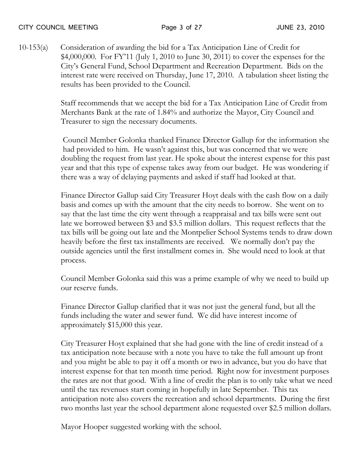10-153(a) Consideration of awarding the bid for a Tax Anticipation Line of Credit for \$4,000,000. For FY'11 (July 1, 2010 to June 30, 2011) to cover the expenses for the City's General Fund, School Department and Recreation Department. Bids on the interest rate were received on Thursday, June 17, 2010. A tabulation sheet listing the results has been provided to the Council.

> Staff recommends that we accept the bid for a Tax Anticipation Line of Credit from Merchants Bank at the rate of 1.84% and authorize the Mayor, City Council and Treasurer to sign the necessary documents.

> Council Member Golonka thanked Finance Director Gallup for the information she had provided to him. He wasn't against this, but was concerned that we were doubling the request from last year. He spoke about the interest expense for this past year and that this type of expense takes away from our budget. He was wondering if there was a way of delaying payments and asked if staff had looked at that.

> Finance Director Gallup said City Treasurer Hoyt deals with the cash flow on a daily basis and comes up with the amount that the city needs to borrow. She went on to say that the last time the city went through a reappraisal and tax bills were sent out late we borrowed between \$3 and \$3.5 million dollars. This request reflects that the tax bills will be going out late and the Montpelier School Systems tends to draw down heavily before the first tax installments are received. We normally don't pay the outside agencies until the first installment comes in. She would need to look at that process.

Council Member Golonka said this was a prime example of why we need to build up our reserve funds.

Finance Director Gallup clarified that it was not just the general fund, but all the funds including the water and sewer fund. We did have interest income of approximately \$15,000 this year.

City Treasurer Hoyt explained that she had gone with the line of credit instead of a tax anticipation note because with a note you have to take the full amount up front and you might be able to pay it off a month or two in advance, but you do have that interest expense for that ten month time period. Right now for investment purposes the rates are not that good. With a line of credit the plan is to only take what we need until the tax revenues start coming in hopefully in late September. This tax anticipation note also covers the recreation and school departments. During the first two months last year the school department alone requested over \$2.5 million dollars.

Mayor Hooper suggested working with the school.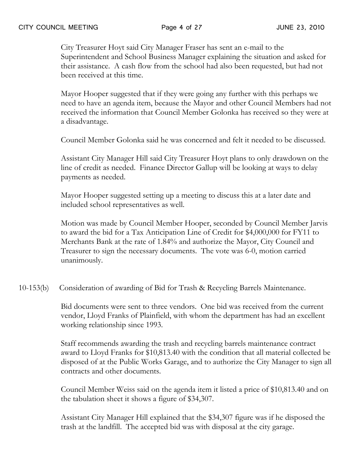City Treasurer Hoyt said City Manager Fraser has sent an e-mail to the Superintendent and School Business Manager explaining the situation and asked for their assistance. A cash flow from the school had also been requested, but had not been received at this time.

Mayor Hooper suggested that if they were going any further with this perhaps we need to have an agenda item, because the Mayor and other Council Members had not received the information that Council Member Golonka has received so they were at a disadvantage.

Council Member Golonka said he was concerned and felt it needed to be discussed.

Assistant City Manager Hill said City Treasurer Hoyt plans to only drawdown on the line of credit as needed. Finance Director Gallup will be looking at ways to delay payments as needed.

Mayor Hooper suggested setting up a meeting to discuss this at a later date and included school representatives as well.

Motion was made by Council Member Hooper, seconded by Council Member Jarvis to award the bid for a Tax Anticipation Line of Credit for \$4,000,000 for FY11 to Merchants Bank at the rate of 1.84% and authorize the Mayor, City Council and Treasurer to sign the necessary documents. The vote was 6-0, motion carried unanimously.

10-153(b) Consideration of awarding of Bid for Trash & Recycling Barrels Maintenance.

Bid documents were sent to three vendors. One bid was received from the current vendor, Lloyd Franks of Plainfield, with whom the department has had an excellent working relationship since 1993.

Staff recommends awarding the trash and recycling barrels maintenance contract award to Lloyd Franks for \$10,813.40 with the condition that all material collected be disposed of at the Public Works Garage, and to authorize the City Manager to sign all contracts and other documents.

Council Member Weiss said on the agenda item it listed a price of \$10,813.40 and on the tabulation sheet it shows a figure of \$34,307.

Assistant City Manager Hill explained that the \$34,307 figure was if he disposed the trash at the landfill. The accepted bid was with disposal at the city garage.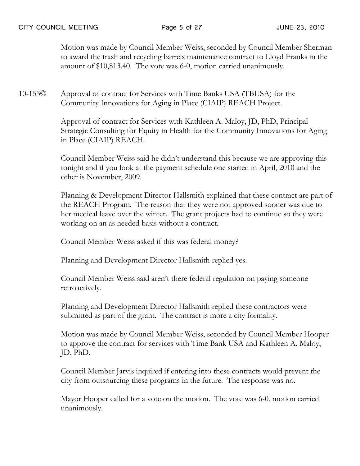Motion was made by Council Member Weiss, seconded by Council Member Sherman to award the trash and recycling barrels maintenance contract to Lloyd Franks in the amount of \$10,813.40. The vote was 6-0, motion carried unanimously.

10-153© Approval of contract for Services with Time Banks USA (TBUSA) for the Community Innovations for Aging in Place (CIAIP) REACH Project.

> Approval of contract for Services with Kathleen A. Maloy, JD, PhD, Principal Strategic Consulting for Equity in Health for the Community Innovations for Aging in Place (CIAIP) REACH.

> Council Member Weiss said he didn't understand this because we are approving this tonight and if you look at the payment schedule one started in April, 2010 and the other is November, 2009.

Planning & Development Director Hallsmith explained that these contract are part of the REACH Program. The reason that they were not approved sooner was due to her medical leave over the winter. The grant projects had to continue so they were working on an as needed basis without a contract.

Council Member Weiss asked if this was federal money?

Planning and Development Director Hallsmith replied yes.

Council Member Weiss said aren't there federal regulation on paying someone retroactively.

Planning and Development Director Hallsmith replied these contractors were submitted as part of the grant. The contract is more a city formality.

Motion was made by Council Member Weiss, seconded by Council Member Hooper to approve the contract for services with Time Bank USA and Kathleen A. Maloy, JD, PhD.

Council Member Jarvis inquired if entering into these contracts would prevent the city from outsourcing these programs in the future. The response was no.

Mayor Hooper called for a vote on the motion. The vote was 6-0, motion carried unanimously.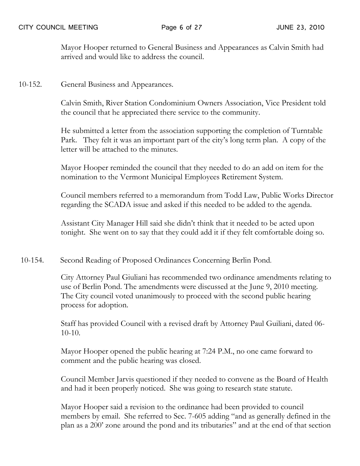Mayor Hooper returned to General Business and Appearances as Calvin Smith had arrived and would like to address the council.

10-152. General Business and Appearances.

Calvin Smith, River Station Condominium Owners Association, Vice President told the council that he appreciated there service to the community.

He submitted a letter from the association supporting the completion of Turntable Park. They felt it was an important part of the city's long term plan. A copy of the letter will be attached to the minutes.

Mayor Hooper reminded the council that they needed to do an add on item for the nomination to the Vermont Municipal Employees Retirement System.

Council members referred to a memorandum from Todd Law, Public Works Director regarding the SCADA issue and asked if this needed to be added to the agenda.

Assistant City Manager Hill said she didn't think that it needed to be acted upon tonight. She went on to say that they could add it if they felt comfortable doing so.

10-154. Second Reading of Proposed Ordinances Concerning Berlin Pond.

City Attorney Paul Giuliani has recommended two ordinance amendments relating to use of Berlin Pond. The amendments were discussed at the June 9, 2010 meeting. The City council voted unanimously to proceed with the second public hearing process for adoption.

Staff has provided Council with a revised draft by Attorney Paul Guiliani, dated 06- 10-10.

Mayor Hooper opened the public hearing at 7:24 P.M., no one came forward to comment and the public hearing was closed.

Council Member Jarvis questioned if they needed to convene as the Board of Health and had it been properly noticed. She was going to research state statute.

Mayor Hooper said a revision to the ordinance had been provided to council members by email. She referred to Sec. 7-605 adding "and as generally defined in the plan as a 200' zone around the pond and its tributaries" and at the end of that section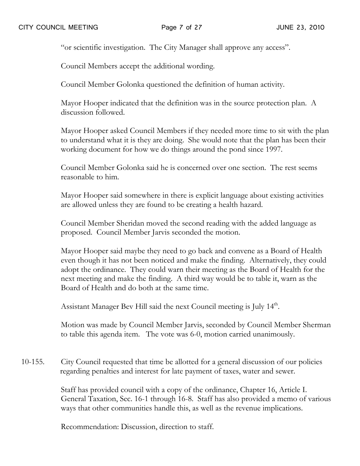"or scientific investigation. The City Manager shall approve any access".

Council Members accept the additional wording.

Council Member Golonka questioned the definition of human activity.

Mayor Hooper indicated that the definition was in the source protection plan. A discussion followed.

Mayor Hooper asked Council Members if they needed more time to sit with the plan to understand what it is they are doing. She would note that the plan has been their working document for how we do things around the pond since 1997.

Council Member Golonka said he is concerned over one section. The rest seems reasonable to him.

Mayor Hooper said somewhere in there is explicit language about existing activities are allowed unless they are found to be creating a health hazard.

Council Member Sheridan moved the second reading with the added language as proposed. Council Member Jarvis seconded the motion.

Mayor Hooper said maybe they need to go back and convene as a Board of Health even though it has not been noticed and make the finding. Alternatively, they could adopt the ordinance. They could warn their meeting as the Board of Health for the next meeting and make the finding. A third way would be to table it, warn as the Board of Health and do both at the same time.

Assistant Manager Bev Hill said the next Council meeting is July  $14^{\text{m}}$ .

Motion was made by Council Member Jarvis, seconded by Council Member Sherman to table this agenda item. The vote was 6-0, motion carried unanimously.

10-155. City Council requested that time be allotted for a general discussion of our policies regarding penalties and interest for late payment of taxes, water and sewer.

> Staff has provided council with a copy of the ordinance, Chapter 16, Article I. General Taxation, Sec. 16-1 through 16-8. Staff has also provided a memo of various ways that other communities handle this, as well as the revenue implications.

Recommendation: Discussion, direction to staff.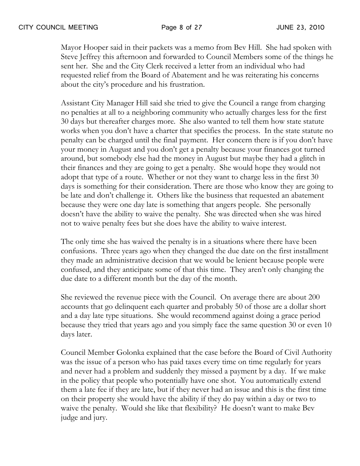Mayor Hooper said in their packets was a memo from Bev Hill. She had spoken with Steve Jeffrey this afternoon and forwarded to Council Members some of the things he sent her. She and the City Clerk received a letter from an individual who had requested relief from the Board of Abatement and he was reiterating his concerns about the city's procedure and his frustration.

Assistant City Manager Hill said she tried to give the Council a range from charging no penalties at all to a neighboring community who actually charges less for the first 30 days but thereafter charges more. She also wanted to tell them how state statute works when you don't have a charter that specifies the process. In the state statute no penalty can be charged until the final payment. Her concern there is if you don't have your money in August and you don't get a penalty because your finances got turned around, but somebody else had the money in August but maybe they had a glitch in their finances and they are going to get a penalty. She would hope they would not adopt that type of a route. Whether or not they want to charge less in the first 30 days is something for their consideration. There are those who know they are going to be late and don't challenge it. Others like the business that requested an abatement because they were one day late is something that angers people. She personally doesn't have the ability to waive the penalty. She was directed when she was hired not to waive penalty fees but she does have the ability to waive interest.

The only time she has waived the penalty is in a situations where there have been confusions. Three years ago when they changed the due date on the first installment they made an administrative decision that we would be lenient because people were confused, and they anticipate some of that this time. They aren't only changing the due date to a different month but the day of the month.

She reviewed the revenue piece with the Council. On average there are about 200 accounts that go delinquent each quarter and probably 50 of those are a dollar short and a day late type situations. She would recommend against doing a grace period because they tried that years ago and you simply face the same question 30 or even 10 days later.

Council Member Golonka explained that the case before the Board of Civil Authority was the issue of a person who has paid taxes every time on time regularly for years and never had a problem and suddenly they missed a payment by a day. If we make in the policy that people who potentially have one shot. You automatically extend them a late fee if they are late, but if they never had an issue and this is the first time on their property she would have the ability if they do pay within a day or two to waive the penalty. Would she like that flexibility? He doesn't want to make Bev judge and jury.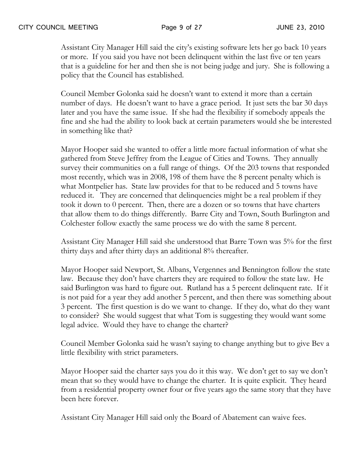Assistant City Manager Hill said the city's existing software lets her go back 10 years or more. If you said you have not been delinquent within the last five or ten years that is a guideline for her and then she is not being judge and jury. She is following a policy that the Council has established.

Council Member Golonka said he doesn't want to extend it more than a certain number of days. He doesn't want to have a grace period. It just sets the bar 30 days later and you have the same issue. If she had the flexibility if somebody appeals the fine and she had the ability to look back at certain parameters would she be interested in something like that?

Mayor Hooper said she wanted to offer a little more factual information of what she gathered from Steve Jeffrey from the League of Cities and Towns. They annually survey their communities on a full range of things. Of the 203 towns that responded most recently, which was in 2008, 198 of them have the 8 percent penalty which is what Montpelier has. State law provides for that to be reduced and 5 towns have reduced it. They are concerned that delinquencies might be a real problem if they took it down to 0 percent. Then, there are a dozen or so towns that have charters that allow them to do things differently. Barre City and Town, South Burlington and Colchester follow exactly the same process we do with the same 8 percent.

Assistant City Manager Hill said she understood that Barre Town was 5% for the first thirty days and after thirty days an additional 8% thereafter.

Mayor Hooper said Newport, St. Albans, Vergennes and Bennington follow the state law. Because they don't have charters they are required to follow the state law. He said Burlington was hard to figure out. Rutland has a 5 percent delinquent rate. If it is not paid for a year they add another 5 percent, and then there was something about 3 percent. The first question is do we want to change. If they do, what do they want to consider? She would suggest that what Tom is suggesting they would want some legal advice. Would they have to change the charter?

Council Member Golonka said he wasn't saying to change anything but to give Bev a little flexibility with strict parameters.

Mayor Hooper said the charter says you do it this way. We don't get to say we don't mean that so they would have to change the charter. It is quite explicit. They heard from a residential property owner four or five years ago the same story that they have been here forever.

Assistant City Manager Hill said only the Board of Abatement can waive fees.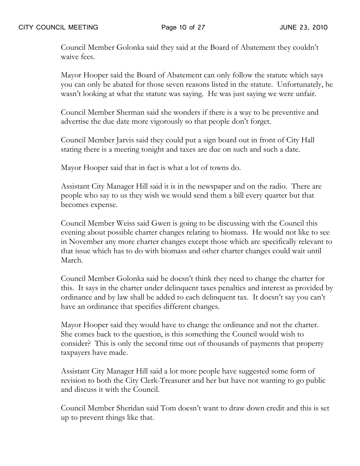Council Member Golonka said they said at the Board of Abatement they couldn't waive fees.

Mayor Hooper said the Board of Abatement can only follow the statute which says you can only be abated for those seven reasons listed in the statute. Unfortunately, he wasn't looking at what the statute was saying. He was just saying we were unfair.

Council Member Sherman said she wonders if there is a way to be preventive and advertise the due date more vigorously so that people don't forget.

Council Member Jarvis said they could put a sign board out in front of City Hall stating there is a meeting tonight and taxes are due on such and such a date.

Mayor Hooper said that in fact is what a lot of towns do.

Assistant City Manager Hill said it is in the newspaper and on the radio. There are people who say to us they wish we would send them a bill every quarter but that becomes expense.

Council Member Weiss said Gwen is going to be discussing with the Council this evening about possible charter changes relating to biomass. He would not like to see in November any more charter changes except those which are specifically relevant to that issue which has to do with biomass and other charter changes could wait until March.

Council Member Golonka said he doesn't think they need to change the charter for this. It says in the charter under delinquent taxes penalties and interest as provided by ordinance and by law shall be added to each delinquent tax. It doesn't say you can't have an ordinance that specifies different changes.

Mayor Hooper said they would have to change the ordinance and not the charter. She comes back to the question, is this something the Council would wish to consider? This is only the second time out of thousands of payments that property taxpayers have made.

Assistant City Manager Hill said a lot more people have suggested some form of revision to both the City Clerk-Treasurer and her but have not wanting to go public and discuss it with the Council.

Council Member Sheridan said Tom doesn't want to draw down credit and this is set up to prevent things like that.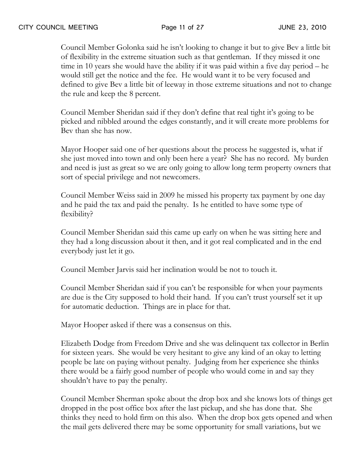Council Member Golonka said he isn't looking to change it but to give Bev a little bit of flexibility in the extreme situation such as that gentleman. If they missed it one time in 10 years she would have the ability if it was paid within a five day period – he would still get the notice and the fee. He would want it to be very focused and defined to give Bev a little bit of leeway in those extreme situations and not to change the rule and keep the 8 percent.

Council Member Sheridan said if they don't define that real tight it's going to be picked and nibbled around the edges constantly, and it will create more problems for Bev than she has now.

Mayor Hooper said one of her questions about the process he suggested is, what if she just moved into town and only been here a year? She has no record. My burden and need is just as great so we are only going to allow long term property owners that sort of special privilege and not newcomers.

Council Member Weiss said in 2009 he missed his property tax payment by one day and he paid the tax and paid the penalty. Is he entitled to have some type of flexibility?

Council Member Sheridan said this came up early on when he was sitting here and they had a long discussion about it then, and it got real complicated and in the end everybody just let it go.

Council Member Jarvis said her inclination would be not to touch it.

Council Member Sheridan said if you can't be responsible for when your payments are due is the City supposed to hold their hand. If you can't trust yourself set it up for automatic deduction. Things are in place for that.

Mayor Hooper asked if there was a consensus on this.

Elizabeth Dodge from Freedom Drive and she was delinquent tax collector in Berlin for sixteen years. She would be very hesitant to give any kind of an okay to letting people be late on paying without penalty. Judging from her experience she thinks there would be a fairly good number of people who would come in and say they shouldn't have to pay the penalty.

Council Member Sherman spoke about the drop box and she knows lots of things get dropped in the post office box after the last pickup, and she has done that. She thinks they need to hold firm on this also. When the drop box gets opened and when the mail gets delivered there may be some opportunity for small variations, but we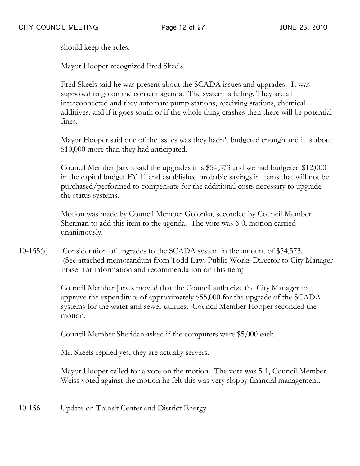should keep the rules.

Mayor Hooper recognized Fred Skeels.

Fred Skeels said he was present about the SCADA issues and upgrades. It was supposed to go on the consent agenda. The system is failing. They are all interconnected and they automate pump stations, receiving stations, chemical additives, and if it goes south or if the whole thing crashes then there will be potential fines.

Mayor Hooper said one of the issues was they hadn't budgeted enough and it is about \$10,000 more than they had anticipated.

Council Member Jarvis said the upgrades it is \$54,573 and we had budgeted \$12,000 in the capital budget FY 11 and established probable savings in items that will not be purchased/performed to compensate for the additional costs necessary to upgrade the status systems.

Motion was made by Council Member Golonka, seconded by Council Member Sherman to add this item to the agenda. The vote was 6-0, motion carried unanimously.

10-155(a) Consideration of upgrades to the SCADA system in the amount of \$54,573. (See attached memorandum from Todd Law, Public Works Director to City Manager Fraser for information and recommendation on this item)

> Council Member Jarvis moved that the Council authorize the City Manager to approve the expenditure of approximately \$55,000 for the upgrade of the SCADA systems for the water and sewer utilities. Council Member Hooper seconded the motion.

Council Member Sheridan asked if the computers were \$5,000 each.

Mr. Skeels replied yes, they are actually servers.

Mayor Hooper called for a vote on the motion. The vote was 5-1, Council Member Weiss voted against the motion he felt this was very sloppy financial management.

10-156. Update on Transit Center and District Energy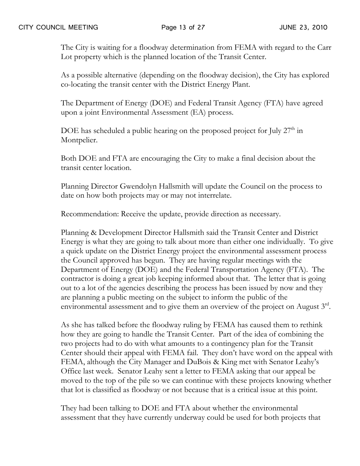The City is waiting for a floodway determination from FEMA with regard to the Carr Lot property which is the planned location of the Transit Center.

As a possible alternative (depending on the floodway decision), the City has explored co-locating the transit center with the District Energy Plant.

The Department of Energy (DOE) and Federal Transit Agency (FTA) have agreed upon a joint Environmental Assessment (EA) process.

DOE has scheduled a public hearing on the proposed project for July 27<sup>th</sup> in Montpelier.

Both DOE and FTA are encouraging the City to make a final decision about the transit center location.

Planning Director Gwendolyn Hallsmith will update the Council on the process to date on how both projects may or may not interrelate.

Recommendation: Receive the update, provide direction as necessary.

Planning & Development Director Hallsmith said the Transit Center and District Energy is what they are going to talk about more than either one individually. To give a quick update on the District Energy project the environmental assessment process the Council approved has begun. They are having regular meetings with the Department of Energy (DOE) and the Federal Transportation Agency (FTA). The contractor is doing a great job keeping informed about that. The letter that is going out to a lot of the agencies describing the process has been issued by now and they are planning a public meeting on the subject to inform the public of the environmental assessment and to give them an overview of the project on August  $3^{\text{rd}}$ .

As she has talked before the floodway ruling by FEMA has caused them to rethink how they are going to handle the Transit Center. Part of the idea of combining the two projects had to do with what amounts to a contingency plan for the Transit Center should their appeal with FEMA fail. They don't have word on the appeal with FEMA, although the City Manager and DuBois & King met with Senator Leahy's Office last week. Senator Leahy sent a letter to FEMA asking that our appeal be moved to the top of the pile so we can continue with these projects knowing whether that lot is classified as floodway or not because that is a critical issue at this point.

They had been talking to DOE and FTA about whether the environmental assessment that they have currently underway could be used for both projects that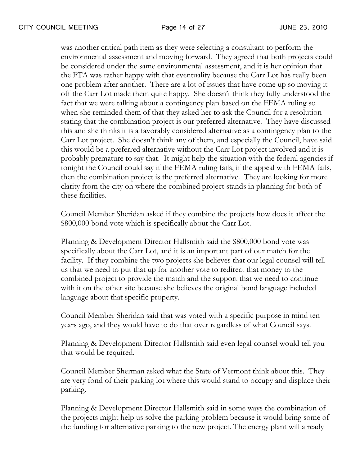was another critical path item as they were selecting a consultant to perform the environmental assessment and moving forward. They agreed that both projects could be considered under the same environmental assessment, and it is her opinion that the FTA was rather happy with that eventuality because the Carr Lot has really been one problem after another. There are a lot of issues that have come up so moving it off the Carr Lot made them quite happy. She doesn't think they fully understood the fact that we were talking about a contingency plan based on the FEMA ruling so when she reminded them of that they asked her to ask the Council for a resolution stating that the combination project is our preferred alternative. They have discussed this and she thinks it is a favorably considered alternative as a contingency plan to the Carr Lot project. She doesn't think any of them, and especially the Council, have said this would be a preferred alternative without the Carr Lot project involved and it is probably premature to say that. It might help the situation with the federal agencies if tonight the Council could say if the FEMA ruling fails, if the appeal with FEMA fails, then the combination project is the preferred alternative. They are looking for more clarity from the city on where the combined project stands in planning for both of these facilities.

Council Member Sheridan asked if they combine the projects how does it affect the \$800,000 bond vote which is specifically about the Carr Lot.

Planning & Development Director Hallsmith said the \$800,000 bond vote was specifically about the Carr Lot, and it is an important part of our match for the facility. If they combine the two projects she believes that our legal counsel will tell us that we need to put that up for another vote to redirect that money to the combined project to provide the match and the support that we need to continue with it on the other site because she believes the original bond language included language about that specific property.

Council Member Sheridan said that was voted with a specific purpose in mind ten years ago, and they would have to do that over regardless of what Council says.

Planning & Development Director Hallsmith said even legal counsel would tell you that would be required.

Council Member Sherman asked what the State of Vermont think about this. They are very fond of their parking lot where this would stand to occupy and displace their parking.

Planning & Development Director Hallsmith said in some ways the combination of the projects might help us solve the parking problem because it would bring some of the funding for alternative parking to the new project. The energy plant will already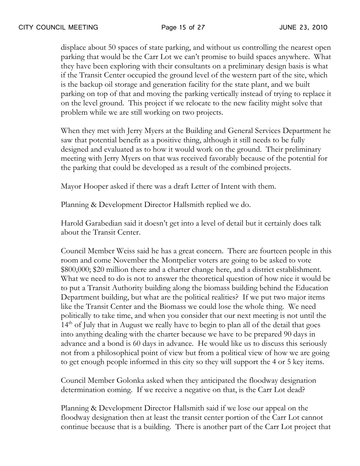displace about 50 spaces of state parking, and without us controlling the nearest open parking that would be the Carr Lot we can't promise to build spaces anywhere. What they have been exploring with their consultants on a preliminary design basis is what if the Transit Center occupied the ground level of the western part of the site, which is the backup oil storage and generation facility for the state plant, and we built parking on top of that and moving the parking vertically instead of trying to replace it on the level ground. This project if we relocate to the new facility might solve that problem while we are still working on two projects.

When they met with Jerry Myers at the Building and General Services Department he saw that potential benefit as a positive thing, although it still needs to be fully designed and evaluated as to how it would work on the ground. Their preliminary meeting with Jerry Myers on that was received favorably because of the potential for the parking that could be developed as a result of the combined projects.

Mayor Hooper asked if there was a draft Letter of Intent with them.

Planning & Development Director Hallsmith replied we do.

Harold Garabedian said it doesn't get into a level of detail but it certainly does talk about the Transit Center.

Council Member Weiss said he has a great concern. There are fourteen people in this room and come November the Montpelier voters are going to be asked to vote \$800,000; \$20 million there and a charter change here, and a district establishment. What we need to do is not to answer the theoretical question of how nice it would be to put a Transit Authority building along the biomass building behind the Education Department building, but what are the political realities? If we put two major items like the Transit Center and the Biomass we could lose the whole thing. We need politically to take time, and when you consider that our next meeting is not until the  $14<sup>th</sup>$  of July that in August we really have to begin to plan all of the detail that goes into anything dealing with the charter because we have to be prepared 90 days in advance and a bond is 60 days in advance. He would like us to discuss this seriously not from a philosophical point of view but from a political view of how we are going to get enough people informed in this city so they will support the 4 or 5 key items.

Council Member Golonka asked when they anticipated the floodway designation determination coming. If we receive a negative on that, is the Carr Lot dead?

Planning & Development Director Hallsmith said if we lose our appeal on the floodway designation then at least the transit center portion of the Carr Lot cannot continue because that is a building. There is another part of the Carr Lot project that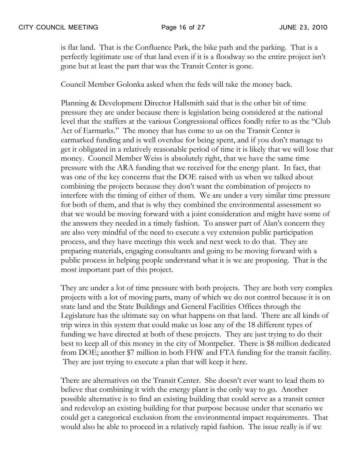is flat land. That is the Confluence Park, the bike path and the parking. That is a perfectly legitimate use of that land even if it is a floodway so the entire project isn't gone but at least the part that was the Transit Center is gone.

Council Member Golonka asked when the feds will take the money back.

Planning & Development Director Hallsmith said that is the other bit of time pressure they are under because there is legislation being considered at the national level that the staffers at the various Congressional offices fondly refer to as the "Club Act of Earmarks." The money that has come to us on the Transit Center is earmarked funding and is well overdue for being spent, and if you don't manage to get it obligated in a relatively reasonable period of time it is likely that we will lose that money. Council Member Weiss is absolutely right, that we have the same time pressure with the ARA funding that we received for the energy plant. In fact, that was one of the key concerns that the DOE raised with us when we talked about combining the projects because they don't want the combination of projects to interfere with the timing of either of them. We are under a very similar time pressure for both of them, and that is why they combined the environmental assessment so that we would be moving forward with a joint consideration and might have some of the answers they needed in a timely fashion. To answer part of Alan's concern they are also very mindful of the need to execute a vey extension public participation process, and they have meetings this week and next week to do that. They are preparing materials, engaging consultants and going to be moving forward with a public process in helping people understand what it is we are proposing. That is the most important part of this project.

They are under a lot of time pressure with both projects. They are both very complex projects with a lot of moving parts, many of which we do not control because it is on state land and the State Buildings and General Facilities Offices through the Legislature has the ultimate say on what happens on that land. There are all kinds of trip wires in this system that could make us lose any of the 18 different types of funding we have directed at both of these projects. They are just trying to do their best to keep all of this money in the city of Montpelier. There is \$8 million dedicated from DOE; another \$7 million in both FHW and FTA funding for the transit facility. They are just trying to execute a plan that will keep it here.

There are alternatives on the Transit Center. She doesn't ever want to lead them to believe that combining it with the energy plant is the only way to go. Another possible alternative is to find an existing building that could serve as a transit center and redevelop an existing building for that purpose because under that scenario we could get a categorical exclusion from the environmental impact requirements. That would also be able to proceed in a relatively rapid fashion. The issue really is if we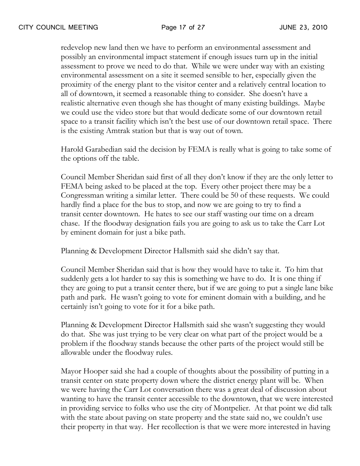redevelop new land then we have to perform an environmental assessment and possibly an environmental impact statement if enough issues turn up in the initial assessment to prove we need to do that. While we were under way with an existing environmental assessment on a site it seemed sensible to her, especially given the proximity of the energy plant to the visitor center and a relatively central location to all of downtown, it seemed a reasonable thing to consider. She doesn't have a realistic alternative even though she has thought of many existing buildings. Maybe we could use the video store but that would dedicate some of our downtown retail space to a transit facility which isn't the best use of our downtown retail space. There is the existing Amtrak station but that is way out of town.

Harold Garabedian said the decision by FEMA is really what is going to take some of the options off the table.

Council Member Sheridan said first of all they don't know if they are the only letter to FEMA being asked to be placed at the top. Every other project there may be a Congressman writing a similar letter. There could be 50 of these requests. We could hardly find a place for the bus to stop, and now we are going to try to find a transit center downtown. He hates to see our staff wasting our time on a dream chase. If the floodway designation fails you are going to ask us to take the Carr Lot by eminent domain for just a bike path.

Planning & Development Director Hallsmith said she didn't say that.

Council Member Sheridan said that is how they would have to take it. To him that suddenly gets a lot harder to say this is something we have to do. It is one thing if they are going to put a transit center there, but if we are going to put a single lane bike path and park. He wasn't going to vote for eminent domain with a building, and he certainly isn't going to vote for it for a bike path.

Planning & Development Director Hallsmith said she wasn't suggesting they would do that. She was just trying to be very clear on what part of the project would be a problem if the floodway stands because the other parts of the project would still be allowable under the floodway rules.

Mayor Hooper said she had a couple of thoughts about the possibility of putting in a transit center on state property down where the district energy plant will be. When we were having the Carr Lot conversation there was a great deal of discussion about wanting to have the transit center accessible to the downtown, that we were interested in providing service to folks who use the city of Montpelier. At that point we did talk with the state about paving on state property and the state said no, we couldn't use their property in that way. Her recollection is that we were more interested in having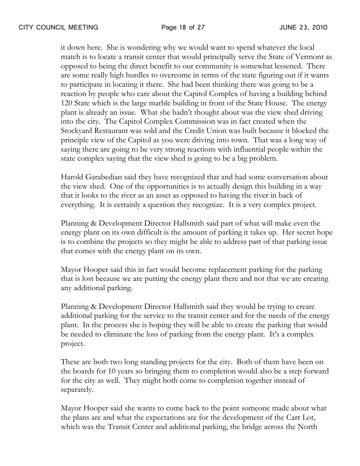it down here. She is wondering why we would want to spend whatever the local match is to locate a transit center that would principally serve the State of Vermont as opposed to being the direct benefit to our community is somewhat lessened. There are some really high hurdles to overcome in terms of the state figuring out if it wants to participate in locating it there. She had been thinking there was going to be a reaction by people who care about the Capitol Complex of having a building behind 120 State which is the large marble building in front of the State House. The energy plant is already an issue. What she hadn't thought about was the view shed driving into the city. The Capitol Complex Commission was in fact created when the Stockyard Restaurant was sold and the Credit Union was built because it blocked the principle view of the Capitol as you were driving into town. That was a long way of saying there are going to be very strong reactions with influential people within the state complex saying that the view shed is going to be a big problem.

Harold Garabedian said they have recognized that and had some conversation about the view shed. One of the opportunities is to actually design this building in a way that it looks to the river as an asset as opposed to having the river in back of everything. It is certainly a question they recognize. It is a very complex project.

Planning & Development Director Hallsmith said part of what will make even the energy plant on its own difficult is the amount of parking it takes up. Her secret hope is to combine the projects so they might be able to address part of that parking issue that comes with the energy plant on its own.

Mayor Hooper said this in fact would become replacement parking for the parking that is lost because we are putting the energy plant there and not that we are creating any additional parking.

Planning & Development Director Hallsmith said they would be trying to create additional parking for the service to the transit center and for the needs of the energy plant. In the process she is hoping they will be able to create the parking that would be needed to eliminate the loss of parking from the energy plant. It's a complex project.

These are both two long standing projects for the city. Both of them have been on the boards for 10 years so bringing them to completion would also be a step forward for the city as well. They might both come to completion together instead of separately.

Mayor Hooper said she wants to come back to the point someone made about what the plans are and what the expectations are for the development of the Carr Lot, which was the Transit Center and additional parking, the bridge across the North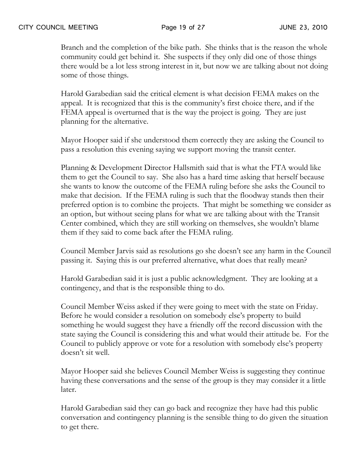Branch and the completion of the bike path. She thinks that is the reason the whole community could get behind it. She suspects if they only did one of those things there would be a lot less strong interest in it, but now we are talking about not doing some of those things.

Harold Garabedian said the critical element is what decision FEMA makes on the appeal. It is recognized that this is the community's first choice there, and if the FEMA appeal is overturned that is the way the project is going. They are just planning for the alternative.

Mayor Hooper said if she understood them correctly they are asking the Council to pass a resolution this evening saying we support moving the transit center.

Planning & Development Director Hallsmith said that is what the FTA would like them to get the Council to say. She also has a hard time asking that herself because she wants to know the outcome of the FEMA ruling before she asks the Council to make that decision. If the FEMA ruling is such that the floodway stands then their preferred option is to combine the projects. That might be something we consider as an option, but without seeing plans for what we are talking about with the Transit Center combined, which they are still working on themselves, she wouldn't blame them if they said to come back after the FEMA ruling.

Council Member Jarvis said as resolutions go she doesn't see any harm in the Council passing it. Saying this is our preferred alternative, what does that really mean?

Harold Garabedian said it is just a public acknowledgment. They are looking at a contingency, and that is the responsible thing to do.

Council Member Weiss asked if they were going to meet with the state on Friday. Before he would consider a resolution on somebody else's property to build something he would suggest they have a friendly off the record discussion with the state saying the Council is considering this and what would their attitude be. For the Council to publicly approve or vote for a resolution with somebody else's property doesn't sit well.

Mayor Hooper said she believes Council Member Weiss is suggesting they continue having these conversations and the sense of the group is they may consider it a little later.

Harold Garabedian said they can go back and recognize they have had this public conversation and contingency planning is the sensible thing to do given the situation to get there.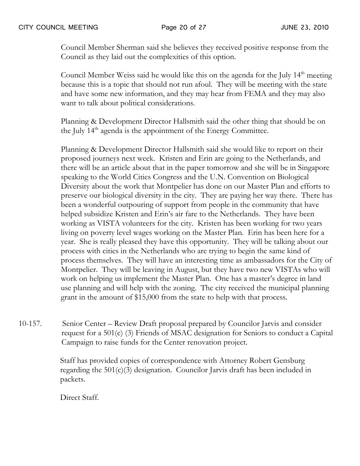Council Member Sherman said she believes they received positive response from the Council as they laid out the complexities of this option.

Council Member Weiss said he would like this on the agenda for the July  $14<sup>th</sup>$  meeting because this is a topic that should not run afoul. They will be meeting with the state and have some new information, and they may hear from FEMA and they may also want to talk about political considerations.

Planning & Development Director Hallsmith said the other thing that should be on the July 14<sup>th</sup> agenda is the appointment of the Energy Committee.

Planning & Development Director Hallsmith said she would like to report on their proposed journeys next week. Kristen and Erin are going to the Netherlands, and there will be an article about that in the paper tomorrow and she will be in Singapore speaking to the World Cities Congress and the U.N. Convention on Biological Diversity about the work that Montpelier has done on our Master Plan and efforts to preserve our biological diversity in the city. They are paying her way there. There has been a wonderful outpouring of support from people in the community that have helped subsidize Kristen and Erin's air fare to the Netherlands. They have been working as VISTA volunteers for the city. Kristen has been working for two years living on poverty level wages working on the Master Plan. Erin has been here for a year. She is really pleased they have this opportunity. They will be talking about our process with cities in the Netherlands who are trying to begin the same kind of process themselves. They will have an interesting time as ambassadors for the City of Montpelier. They will be leaving in August, but they have two new VISTAs who will work on helping us implement the Master Plan. One has a master's degree in land use planning and will help with the zoning. The city received the municipal planning grant in the amount of \$15,000 from the state to help with that process.

10-157. Senior Center – Review Draft proposal prepared by Councilor Jarvis and consider request for a 501(c) (3) Friends of MSAC designation for Seniors to conduct a Capital Campaign to raise funds for the Center renovation project.

> Staff has provided copies of correspondence with Attorney Robert Gensburg regarding the 501(c)(3) designation. Councilor Jarvis draft has been included in packets.

Direct Staff.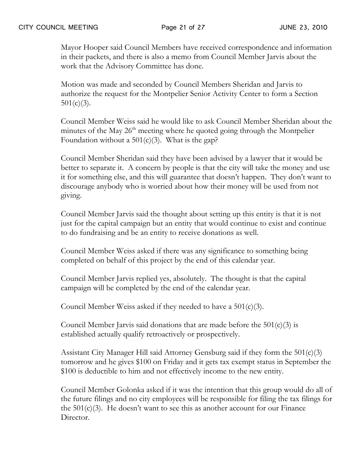Mayor Hooper said Council Members have received correspondence and information in their packets, and there is also a memo from Council Member Jarvis about the work that the Advisory Committee has done.

Motion was made and seconded by Council Members Sheridan and Jarvis to authorize the request for the Montpelier Senior Activity Center to form a Section  $501(c)(3)$ .

Council Member Weiss said he would like to ask Council Member Sheridan about the minutes of the May 26<sup>th</sup> meeting where he quoted going through the Montpelier Foundation without a  $501(c)(3)$ . What is the gap?

Council Member Sheridan said they have been advised by a lawyer that it would be better to separate it. A concern by people is that the city will take the money and use it for something else, and this will guarantee that doesn't happen. They don't want to discourage anybody who is worried about how their money will be used from not giving.

Council Member Jarvis said the thought about setting up this entity is that it is not just for the capital campaign but an entity that would continue to exist and continue to do fundraising and be an entity to receive donations as well.

Council Member Weiss asked if there was any significance to something being completed on behalf of this project by the end of this calendar year.

Council Member Jarvis replied yes, absolutely. The thought is that the capital campaign will be completed by the end of the calendar year.

Council Member Weiss asked if they needed to have a  $501(c)(3)$ .

Council Member Jarvis said donations that are made before the  $501(c)(3)$  is established actually qualify retroactively or prospectively.

Assistant City Manager Hill said Attorney Gensburg said if they form the  $501(c)(3)$ tomorrow and he gives \$100 on Friday and it gets tax exempt status in September the \$100 is deductible to him and not effectively income to the new entity.

Council Member Golonka asked if it was the intention that this group would do all of the future filings and no city employees will be responsible for filing the tax filings for the  $501(c)(3)$ . He doesn't want to see this as another account for our Finance Director.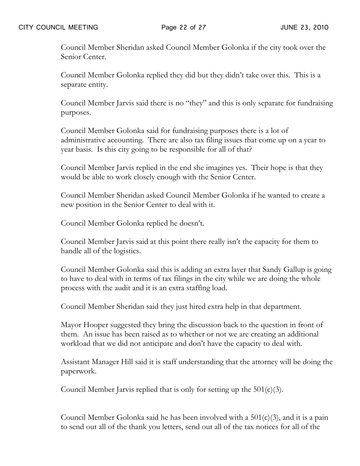Council Member Sheridan asked Council Member Golonka if the city took over the Senior Center.

Council Member Golonka replied they did but they didn't take over this. This is a separate entity.

Council Member Jarvis said there is no "they" and this is only separate for fundraising purposes.

Council Member Golonka said for fundraising purposes there is a lot of administrative accounting. There are also tax filing issues that come up on a year to year basis. Is this city going to be responsible for all of that?

Council Member Jarvis replied in the end she imagines yes. Their hope is that they would be able to work closely enough with the Senior Center.

Council Member Sheridan asked Council Member Golonka if he wanted to create a new position in the Senior Center to deal with it.

Council Member Golonka replied he doesn't.

Council Member Jarvis said at this point there really isn't the capacity for them to handle all of the logistics.

Council Member Golonka said this is adding an extra layer that Sandy Gallup is going to have to deal with in terms of tax filings in the city while we are doing the whole process with the audit and it is an extra staffing load.

Council Member Sheridan said they just hired extra help in that department.

Mayor Hooper suggested they bring the discussion back to the question in front of them. An issue has been raised as to whether or not we are creating an additional workload that we did not anticipate and don't have the capacity to deal with.

Assistant Manager Hill said it is staff understanding that the attorney will be doing the paperwork.

Council Member Jarvis replied that is only for setting up the  $501(c)(3)$ .

Council Member Golonka said he has been involved with a  $501(c)(3)$ , and it is a pain to send out all of the thank you letters, send out all of the tax notices for all of the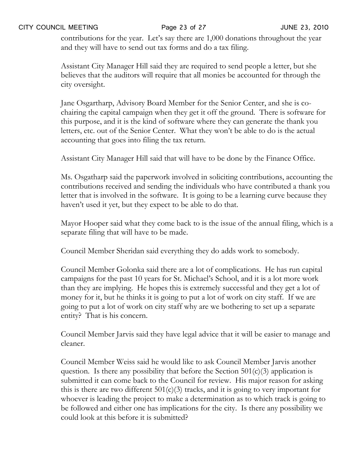### CITY COUNCIL MEETING Page 23 of 27 JUNE 23, 2010

contributions for the year. Let's say there are 1,000 donations throughout the year and they will have to send out tax forms and do a tax filing.

Assistant City Manager Hill said they are required to send people a letter, but she believes that the auditors will require that all monies be accounted for through the city oversight.

Jane Osgartharp, Advisory Board Member for the Senior Center, and she is cochairing the capital campaign when they get it off the ground. There is software for this purpose, and it is the kind of software where they can generate the thank you letters, etc. out of the Senior Center. What they won't be able to do is the actual accounting that goes into filing the tax return.

Assistant City Manager Hill said that will have to be done by the Finance Office.

Ms. Osgatharp said the paperwork involved in soliciting contributions, accounting the contributions received and sending the individuals who have contributed a thank you letter that is involved in the software. It is going to be a learning curve because they haven't used it yet, but they expect to be able to do that.

Mayor Hooper said what they come back to is the issue of the annual filing, which is a separate filing that will have to be made.

Council Member Sheridan said everything they do adds work to somebody.

Council Member Golonka said there are a lot of complications. He has run capital campaigns for the past 10 years for St. Michael's School, and it is a lot more work than they are implying. He hopes this is extremely successful and they get a lot of money for it, but he thinks it is going to put a lot of work on city staff. If we are going to put a lot of work on city staff why are we bothering to set up a separate entity? That is his concern.

Council Member Jarvis said they have legal advice that it will be easier to manage and cleaner.

Council Member Weiss said he would like to ask Council Member Jarvis another question. Is there any possibility that before the Section  $501(c)(3)$  application is submitted it can come back to the Council for review. His major reason for asking this is there are two different  $501(c)(3)$  tracks, and it is going to very important for whoever is leading the project to make a determination as to which track is going to be followed and either one has implications for the city. Is there any possibility we could look at this before it is submitted?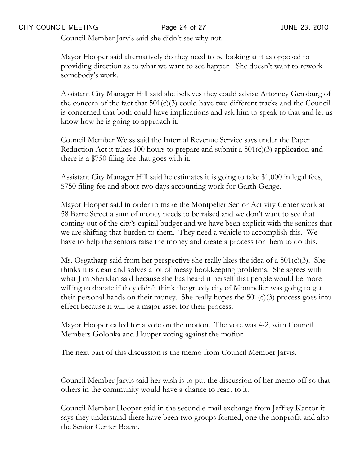Council Member Jarvis said she didn't see why not.

Mayor Hooper said alternatively do they need to be looking at it as opposed to providing direction as to what we want to see happen. She doesn't want to rework somebody's work.

Assistant City Manager Hill said she believes they could advise Attorney Gensburg of the concern of the fact that 501(c)(3) could have two different tracks and the Council is concerned that both could have implications and ask him to speak to that and let us know how he is going to approach it.

Council Member Weiss said the Internal Revenue Service says under the Paper Reduction Act it takes 100 hours to prepare and submit a 501(c)(3) application and there is a \$750 filing fee that goes with it.

Assistant City Manager Hill said he estimates it is going to take \$1,000 in legal fees, \$750 filing fee and about two days accounting work for Garth Genge.

Mayor Hooper said in order to make the Montpelier Senior Activity Center work at 58 Barre Street a sum of money needs to be raised and we don't want to see that coming out of the city's capital budget and we have been explicit with the seniors that we are shifting that burden to them. They need a vehicle to accomplish this. We have to help the seniors raise the money and create a process for them to do this.

Ms. Osgatharp said from her perspective she really likes the idea of a 501(c)(3). She thinks it is clean and solves a lot of messy bookkeeping problems. She agrees with what Jim Sheridan said because she has heard it herself that people would be more willing to donate if they didn't think the greedy city of Montpelier was going to get their personal hands on their money. She really hopes the  $501(c)(3)$  process goes into effect because it will be a major asset for their process.

Mayor Hooper called for a vote on the motion. The vote was 4-2, with Council Members Golonka and Hooper voting against the motion.

The next part of this discussion is the memo from Council Member Jarvis.

Council Member Jarvis said her wish is to put the discussion of her memo off so that others in the community would have a chance to react to it.

Council Member Hooper said in the second e-mail exchange from Jeffrey Kantor it says they understand there have been two groups formed, one the nonprofit and also the Senior Center Board.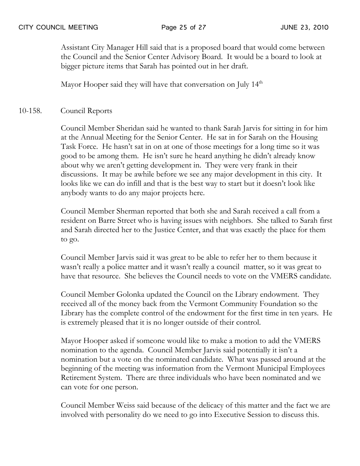Assistant City Manager Hill said that is a proposed board that would come between the Council and the Senior Center Advisory Board. It would be a board to look at bigger picture items that Sarah has pointed out in her draft.

Mayor Hooper said they will have that conversation on July  $14<sup>th</sup>$ 

10-158. Council Reports

Council Member Sheridan said he wanted to thank Sarah Jarvis for sitting in for him at the Annual Meeting for the Senior Center. He sat in for Sarah on the Housing Task Force. He hasn't sat in on at one of those meetings for a long time so it was good to be among them. He isn't sure he heard anything he didn't already know about why we aren't getting development in. They were very frank in their discussions. It may be awhile before we see any major development in this city. It looks like we can do infill and that is the best way to start but it doesn't look like anybody wants to do any major projects here.

Council Member Sherman reported that both she and Sarah received a call from a resident on Barre Street who is having issues with neighbors. She talked to Sarah first and Sarah directed her to the Justice Center, and that was exactly the place for them to go.

Council Member Jarvis said it was great to be able to refer her to them because it wasn't really a police matter and it wasn't really a council matter, so it was great to have that resource. She believes the Council needs to vote on the VMERS candidate.

Council Member Golonka updated the Council on the Library endowment. They received all of the money back from the Vermont Community Foundation so the Library has the complete control of the endowment for the first time in ten years. He is extremely pleased that it is no longer outside of their control.

Mayor Hooper asked if someone would like to make a motion to add the VMERS nomination to the agenda. Council Member Jarvis said potentially it isn't a nomination but a vote on the nominated candidate. What was passed around at the beginning of the meeting was information from the Vermont Municipal Employees Retirement System. There are three individuals who have been nominated and we can vote for one person.

Council Member Weiss said because of the delicacy of this matter and the fact we are involved with personality do we need to go into Executive Session to discuss this.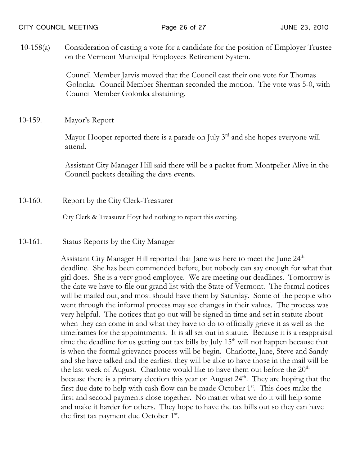10-158(a) Consideration of casting a vote for a candidate for the position of Employer Trustee on the Vermont Municipal Employees Retirement System.

> Council Member Jarvis moved that the Council cast their one vote for Thomas Golonka. Council Member Sherman seconded the motion. The vote was 5-0, with Council Member Golonka abstaining.

10-159. Mayor's Report

Mayor Hooper reported there is a parade on July  $3<sup>rd</sup>$  and she hopes everyone will attend.

 Assistant City Manager Hill said there will be a packet from Montpelier Alive in the Council packets detailing the days events.

10-160. Report by the City Clerk-Treasurer

City Clerk & Treasurer Hoyt had nothing to report this evening.

10-161. Status Reports by the City Manager

Assistant City Manager Hill reported that Jane was here to meet the June 24<sup>th</sup> deadline. She has been commended before, but nobody can say enough for what that girl does. She is a very good employee. We are meeting our deadlines. Tomorrow is the date we have to file our grand list with the State of Vermont. The formal notices will be mailed out, and most should have them by Saturday. Some of the people who went through the informal process may see changes in their values. The process was very helpful. The notices that go out will be signed in time and set in statute about when they can come in and what they have to do to officially grieve it as well as the timeframes for the appointments. It is all set out in statute. Because it is a reappraisal time the deadline for us getting out tax bills by July  $15<sup>th</sup>$  will not happen because that is when the formal grievance process will be begin. Charlotte, Jane, Steve and Sandy and she have talked and the earliest they will be able to have those in the mail will be the last week of August. Charlotte would like to have them out before the  $20<sup>th</sup>$ because there is a primary election this year on August  $24<sup>th</sup>$ . They are hoping that the first due date to help with cash flow can be made October  $1<sup>st</sup>$ . This does make the first and second payments close together. No matter what we do it will help some and make it harder for others. They hope to have the tax bills out so they can have the first tax payment due October  $1^{st}$ .